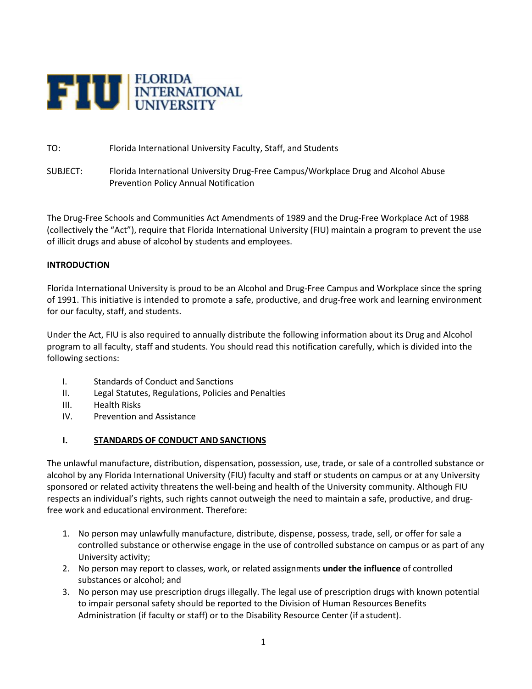

TO: Florida International University Faculty, Staff, and Students

SUBJECT: Florida International University Drug-Free Campus/Workplace Drug and Alcohol Abuse Prevention Policy Annual Notification

The Drug-Free Schools and Communities Act Amendments of 1989 and the Drug-Free Workplace Act of 1988 (collectively the "Act"), require that Florida International University (FIU) maintain a program to prevent the use of illicit drugs and abuse of alcohol by students and employees.

#### **INTRODUCTION**

Florida International University is proud to be an Alcohol and Drug-Free Campus and Workplace since the spring of 1991. This initiative is intended to promote a safe, productive, and drug-free work and learning environment for our faculty, staff, and students.

Under the Act, FIU is also required to annually distribute the following information about its Drug and Alcohol program to all faculty, staff and students. You should read this notification carefully, which is divided into the following sections:

- I. Standards of Conduct and Sanctions
- II. Legal Statutes, Regulations, Policies and Penalties
- III. Health Risks
- IV. Prevention and Assistance

#### **I. STANDARDS OF CONDUCT AND SANCTIONS**

The unlawful manufacture, distribution, dispensation, possession, use, trade, or sale of a controlled substance or alcohol by any Florida International University (FIU) faculty and staff or students on campus or at any University sponsored or related activity threatens the well-being and health of the University community. Although FIU respects an individual's rights, such rights cannot outweigh the need to maintain a safe, productive, and drugfree work and educational environment. Therefore:

- 1. No person may unlawfully manufacture, distribute, dispense, possess, trade, sell, or offer for sale a controlled substance or otherwise engage in the use of controlled substance on campus or as part of any University activity;
- 2. No person may report to classes, work, or related assignments **under the influence** of controlled substances or alcohol; and
- 3. No person may use prescription drugs illegally. The legal use of prescription drugs with known potential to impair personal safety should be reported to the Division of Human Resources Benefits Administration (if faculty or staff) or to the Disability Resource Center (if a student).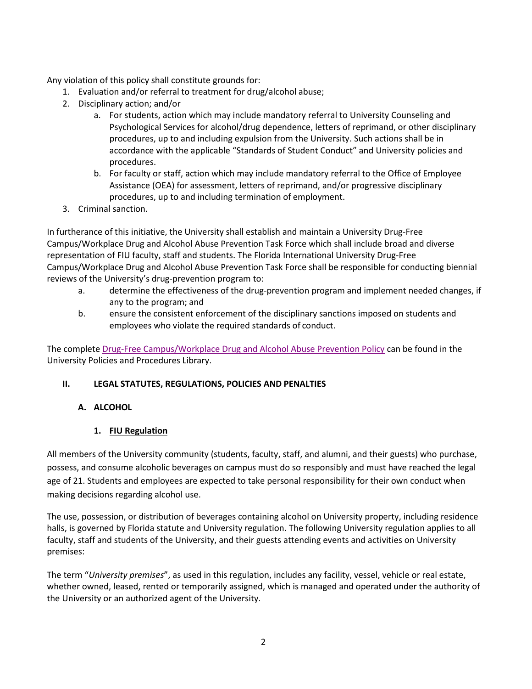Any violation of this policy shall constitute grounds for:

- 1. Evaluation and/or referral to treatment for drug/alcohol abuse;
- 2. Disciplinary action; and/or
	- a. For students, action which may include mandatory referral to University Counseling and Psychological Services for alcohol/drug dependence, letters of reprimand, or other disciplinary procedures, up to and including expulsion from the University. Such actions shall be in accordance with the applicable "Standards of Student Conduct" and University policies and procedures.
	- b. For faculty or staff, action which may include mandatory referral to the Office of Employee Assistance (OEA) for assessment, letters of reprimand, and/or progressive disciplinary procedures, up to and including termination of employment.
- 3. Criminal sanction.

In furtherance of this initiative, the University shall establish and maintain a University Drug-Free Campus/Workplace Drug and Alcohol Abuse Prevention Task Force which shall include broad and diverse representation of FIU faculty, staff and students. The Florida International University Drug-Free Campus/Workplace Drug and Alcohol Abuse Prevention Task Force shall be responsible for conducting biennial reviews of the University's drug-prevention program to:

- a. determine the effectiveness of the drug-prevention program and implement needed changes, if any to the program; and
- b. ensure the consistent enforcement of the disciplinary sanctions imposed on students and employees who violate the required standards of conduct.

The complete [Drug-Free Campus/Workplace Drug and Alcohol Abuse Prevention Policy](https://policies.fiu.edu/policy/754) can be found in the University Policies and Procedures Library.

## **II. LEGAL STATUTES, REGULATIONS, POLICIES AND PENALTIES**

## **A. ALCOHOL**

# **1. FIU Regulation**

All members of the University community (students, faculty, staff, and alumni, and their guests) who purchase, possess, and consume alcoholic beverages on campus must do so responsibly and must have reached the legal age of 21. Students and employees are expected to take personal responsibility for their own conduct when making decisions regarding alcohol use.

The use, possession, or distribution of beverages containing alcohol on University property, including residence halls, is governed by Florida statute and University regulation. The following University regulation applies to all faculty, staff and students of the University, and their guests attending events and activities on University premises:

The term "*University premises*", as used in this regulation, includes any facility, vessel, vehicle or real estate, whether owned, leased, rented or temporarily assigned, which is managed and operated under the authority of the University or an authorized agent of the University.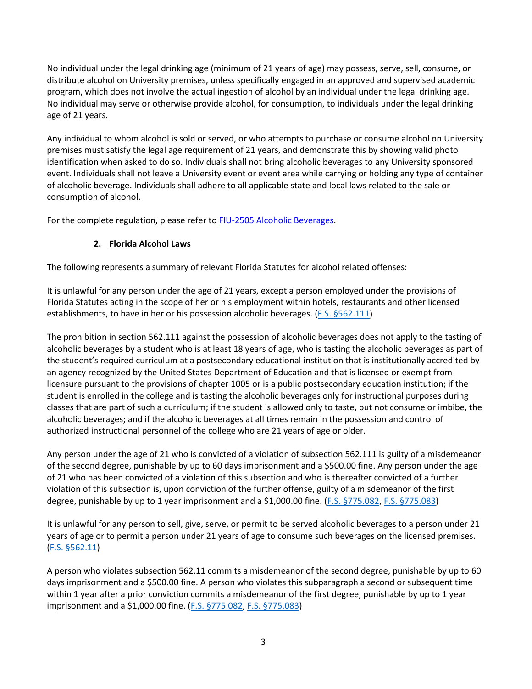No individual under the legal drinking age (minimum of 21 years of age) may possess, serve, sell, consume, or distribute alcohol on University premises, unless specifically engaged in an approved and supervised academic program, which does not involve the actual ingestion of alcohol by an individual under the legal drinking age. No individual may serve or otherwise provide alcohol, for consumption, to individuals under the legal drinking age of 21 years.

Any individual to whom alcohol is sold or served, or who attempts to purchase or consume alcohol on University premises must satisfy the legal age requirement of 21 years, and demonstrate this by showing valid photo identification when asked to do so. Individuals shall not bring alcoholic beverages to any University sponsored event. Individuals shall not leave a University event or event area while carrying or holding any type of container of alcoholic beverage. Individuals shall adhere to all applicable state and local laws related to the sale or consumption of alcohol.

For the complete regulation, please refer to [FIU-2505 Alcoholic Beverages.](http://regulations.fiu.edu/regulation%3DFIU-2505)

# **2. Florida Alcohol Laws**

The following represents a summary of relevant Florida Statutes for alcohol related offenses:

It is unlawful for any person under the age of 21 years, except a person employed under the provisions of Florida Statutes acting in the scope of her or his employment within hotels, restaurants and other licensed establishments, to have in her or his possession alcoholic beverages. [\(F.S. §562.111\)](http://www.leg.state.fl.us/statutes/index.cfm?App_mode=Display_Statute&URL=0500-0599/0562/Sections/0562.111.html)

The prohibition in section 562.111 against the possession of alcoholic beverages does not apply to the tasting of alcoholic beverages by a student who is at least 18 years of age, who is tasting the alcoholic beverages as part of the student's required curriculum at a postsecondary educational institution that is institutionally accredited by an agency recognized by the United States Department of Education and that is licensed or exempt from licensure pursuant to the provisions of chapter 1005 or is a public postsecondary education institution; if the student is enrolled in the college and is tasting the alcoholic beverages only for instructional purposes during classes that are part of such a curriculum; if the student is allowed only to taste, but not consume or imbibe, the alcoholic beverages; and if the alcoholic beverages at all times remain in the possession and control of authorized instructional personnel of the college who are 21 years of age or older.

Any person under the age of 21 who is convicted of a violation of subsection 562.111 is guilty of a misdemeanor of the second degree, punishable by up to 60 days imprisonment and a \$500.00 fine. Any person under the age of 21 who has been convicted of a violation of this subsection and who is thereafter convicted of a further violation of this subsection is, upon conviction of the further offense, guilty of a misdemeanor of the first degree, punishable by up to 1 year imprisonment and a \$1,000.00 fine. [\(F.S. §775.082,](http://www.leg.state.fl.us/statutes/index.cfm?App_mode=Display_Statute&URL=0700-0799/0775/Sections/0775.082.html) [F.S. §775.083\)](http://www.leg.state.fl.us/statutes/index.cfm?App_mode=Display_Statute&URL=0700-0799/0775/Sections/0775.083.html)

It is unlawful for any person to sell, give, serve, or permit to be served alcoholic beverages to a person under 21 years of age or to permit a person under 21 years of age to consume such beverages on the licensed premises. [\(F.S. §562.11\)](http://www.leg.state.fl.us/statutes/index.cfm?App_mode=Display_Statute&URL=0500-0599/0562/Sections/0562.111.html)

A person who violates subsection 562.11 commits a misdemeanor of the second degree, punishable by up to 60 days imprisonment and a \$500.00 fine. A person who violates this subparagraph a second or subsequent time within 1 year after a prior conviction commits a misdemeanor of the first degree, punishable by up to 1 year imprisonment and a \$1,000.00 fine. [\(F.S. §775.082,](http://www.leg.state.fl.us/statutes/index.cfm?App_mode=Display_Statute&URL=0700-0799/0775/Sections/0775.082.html) [F.S. §775.083\)](http://www.leg.state.fl.us/statutes/index.cfm?App_mode=Display_Statute&URL=0700-0799/0775/Sections/0775.083.html)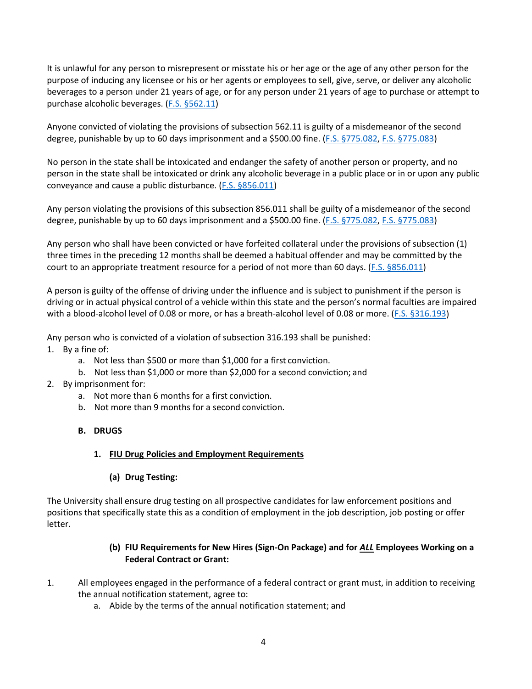It is unlawful for any person to misrepresent or misstate his or her age or the age of any other person for the purpose of inducing any licensee or his or her agents or employees to sell, give, serve, or deliver any alcoholic beverages to a person under 21 years of age, or for any person under 21 years of age to purchase or attempt to purchase alcoholic beverages. [\(F.S. §562.11\)](http://www.leg.state.fl.us/statutes/index.cfm?App_mode=Display_Statute&URL=0500-0599/0562/Sections/0562.11.html)

Anyone convicted of violating the provisions of subsection 562.11 is guilty of a misdemeanor of the second degree, punishable by up to 60 days imprisonment and a \$500.00 fine. [\(F.S. §775.082,](http://www.leg.state.fl.us/statutes/index.cfm?App_mode=Display_Statute&URL=0700-0799/0775/Sections/0775.082.html) [F.S. §775.083\)](http://www.leg.state.fl.us/statutes/index.cfm?App_mode=Display_Statute&URL=0700-0799/0775/Sections/0775.083.html)

No person in the state shall be intoxicated and endanger the safety of another person or property, and no person in the state shall be intoxicated or drink any alcoholic beverage in a public place or in or upon any public conveyance and cause a public disturbance. [\(F.S. §856.011\)](http://www.leg.state.fl.us/statutes/index.cfm?App_mode=Display_Statute&URL=0800-0899/0856/Sections/0856.011.html)

Any person violating the provisions of this subsection 856.011 shall be guilty of a misdemeanor of the second degree, punishable by up to 60 days imprisonment and a \$500.00 fine. [\(F.S. §775.082,](http://www.leg.state.fl.us/statutes/index.cfm?App_mode=Display_Statute&URL=0700-0799/0775/Sections/0775.082.html) [F.S. §775.083\)](http://www.leg.state.fl.us/statutes/index.cfm?App_mode=Display_Statute&URL=0700-0799/0775/Sections/0775.083.html)

Any person who shall have been convicted or have forfeited collateral under the provisions of subsection (1) three times in the preceding 12 months shall be deemed a habitual offender and may be committed by the court to an appropriate treatment resource for a period of not more than 60 days. [\(F.S. §856.011\)](http://www.leg.state.fl.us/statutes/index.cfm?App_mode=Display_Statute&URL=0800-0899/0856/Sections/0856.011.html)

A person is guilty of the offense of driving under the influence and is subject to punishment if the person is driving or in actual physical control of a vehicle within this state and the person's normal faculties are impaired with a blood-alcohol level of 0.08 or more, or has a breath-alcohol level of 0.08 or more. [\(F.S. §316.193\)](http://www.leg.state.fl.us/statutes/index.cfm?App_mode=Display_Statute&URL=0300-0399/0316/Sections/0316.193.html)

Any person who is convicted of a violation of subsection 316.193 shall be punished:

- 1. By a fine of:
	- a. Not less than \$500 or more than \$1,000 for a first conviction.
	- b. Not less than \$1,000 or more than \$2,000 for a second conviction; and
- 2. By imprisonment for:
	- a. Not more than 6 months for a first conviction.
	- b. Not more than 9 months for a second conviction.

#### **B. DRUGS**

#### **1. FIU Drug Policies and Employment Requirements**

#### **(a) Drug Testing:**

The University shall ensure drug testing on all prospective candidates for law enforcement positions and positions that specifically state this as a condition of employment in the job description, job posting or offer letter.

## **(b) FIU Requirements for New Hires (Sign-On Package) and for** *ALL* **Employees Working on a Federal Contract or Grant:**

- 1. All employees engaged in the performance of a federal contract or grant must, in addition to receiving the annual notification statement, agree to:
	- a. Abide by the terms of the annual notification statement; and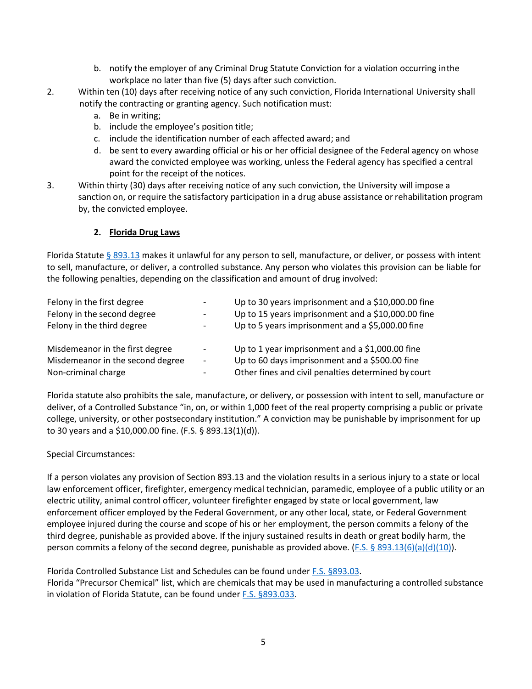- b. notify the employer of any Criminal Drug Statute Conviction for a violation occurring inthe workplace no later than five (5) days after such conviction.
- 2. Within ten (10) days after receiving notice of any such conviction, Florida International University shall notify the contracting or granting agency. Such notification must:
	- a. Be in writing;
	- b. include the employee's position title;
	- c. include the identification number of each affected award; and
	- d. be sent to every awarding official or his or her official designee of the Federal agency on whose award the convicted employee was working, unless the Federal agency has specified a central point for the receipt of the notices.
- 3. Within thirty (30) days after receiving notice of any such conviction, the University will impose a sanction on, or require the satisfactory participation in a drug abuse assistance or rehabilitation program by, the convicted employee.

#### **2. Florida Drug Laws**

Florida Statute [§ 893.13](http://www.leg.state.fl.us/statutes/index.cfm?App_mode=Display_Statute&URL=0800-0899/0893/Sections/0893.13.html) makes it unlawful for any person to sell, manufacture, or deliver, or possess with intent to sell, manufacture, or deliver, a controlled substance. Any person who violates this provision can be liable for the following penalties, depending on the classification and amount of drug involved:

| Felony in the first degree       |                          | Up to 30 years imprisonment and a \$10,000.00 fine  |
|----------------------------------|--------------------------|-----------------------------------------------------|
| Felony in the second degree      | -                        | Up to 15 years imprisonment and a \$10,000.00 fine  |
| Felony in the third degree       |                          | Up to 5 years imprisonment and a \$5,000.00 fine    |
| Misdemeanor in the first degree  |                          | Up to 1 year imprisonment and a \$1,000.00 fine     |
| Misdemeanor in the second degree | $\overline{\phantom{0}}$ | Up to 60 days imprisonment and a \$500.00 fine      |
| Non-criminal charge              | $\overline{\phantom{0}}$ | Other fines and civil penalties determined by court |

Florida statute also prohibits the sale, manufacture, or delivery, or possession with intent to sell, manufacture or deliver, of a Controlled Substance "in, on, or within 1,000 feet of the real property comprising a public or private college, university, or other postsecondary institution." A conviction may be punishable by imprisonment for up to 30 years and a \$10,000.00 fine. (F.S. § 893.13(1)(d)).

#### Special Circumstances:

If a person violates any provision of Section 893.13 and the violation results in a serious injury to a state or local law enforcement officer, firefighter, emergency medical technician, paramedic, employee of a public utility or an electric utility, animal control officer, volunteer firefighter engaged by state or local government, law enforcement officer employed by the Federal Government, or any other local, state, or Federal Government employee injured during the course and scope of his or her employment, the person commits a felony of the third degree, punishable as provided above. If the injury sustained results in death or great bodily harm, the person commits a felony of the second degree, punishable as provided above. [\(F.S. § 893.13\(6\)\(a\)\(d\)\(10\)\)](http://www.leg.state.fl.us/statutes/index.cfm?App_mode=Display_Statute&URL=0800-0899/0893/Sections/0893.13.html).

Florida Controlled Substance List and Schedules can be found under [F.S. §893.03.](http://www.leg.state.fl.us/Statutes/index.cfm?App_mode=Display_Statute&URL=0800-0899/0893/Sections/0893.03.html) Florida "Precursor Chemical" list, which are chemicals that may be used in manufacturing a controlled substance in violation of Florida Statute, can be found under [F.S. §893.033.](http://www.leg.state.fl.us/statutes/index.cfm?App_mode=Display_Statute&Search_String=&URL=0800-0899/0893/Sections/0893.033.html)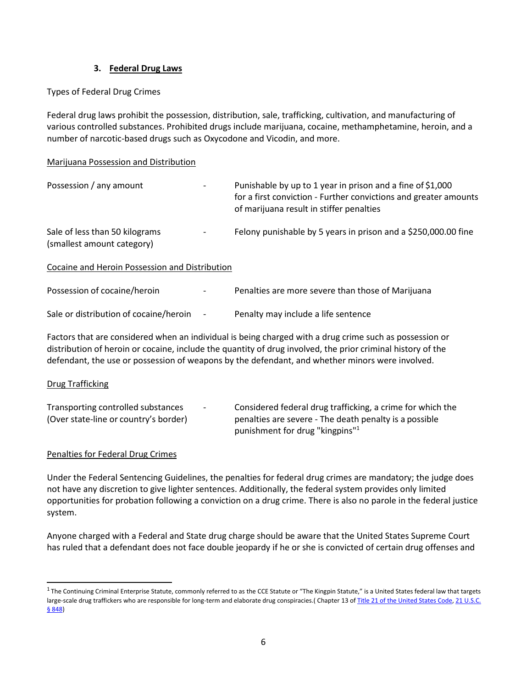#### **3. Federal Drug Laws**

## Types of Federal Drug Crimes

Federal drug laws prohibit the possession, distribution, sale, trafficking, cultivation, and manufacturing of various controlled substances. Prohibited drugs include marijuana, cocaine, methamphetamine, heroin, and a number of narcotic-based drugs such as Oxycodone and Vicodin, and more.

#### Marijuana Possession and Distribution

| Possession / any amount                                      | Punishable by up to 1 year in prison and a fine of \$1,000<br>for a first conviction - Further convictions and greater amounts<br>of marijuana result in stiffer penalties |
|--------------------------------------------------------------|----------------------------------------------------------------------------------------------------------------------------------------------------------------------------|
| Sale of less than 50 kilograms<br>(smallest amount category) | Felony punishable by 5 years in prison and a \$250,000.00 fine                                                                                                             |
| Cocaine and Heroin Possession and Distribution               |                                                                                                                                                                            |
| Possession of cocaine/heroin                                 | Penalties are more severe than those of Marijuana                                                                                                                          |

| Sale or distribution of cocaine/heroin | Penalty may include a life sentence |
|----------------------------------------|-------------------------------------|
|                                        |                                     |

Factors that are considered when an individual is being charged with a drug crime such as possession or distribution of heroin or cocaine, include the quantity of drug involved, the prior criminal history of the defendant, the use or possession of weapons by the defendant, and whether minors were involved.

#### Drug Trafficking

| Transporting controlled substances    | $\sim$ | Considered federal drug trafficking, a crime for which the |
|---------------------------------------|--------|------------------------------------------------------------|
| (Over state-line or country's border) |        | penalties are severe - The death penalty is a possible     |
|                                       |        | punishment for drug "kingpins" <sup>1</sup>                |

#### Penalties for Federal Drug Crimes

Under the Federal Sentencing Guidelines, the penalties for federal drug crimes are mandatory; the judge does not have any discretion to give lighter sentences. Additionally, the federal system provides only limited opportunities for probation following a conviction on a drug crime. There is also no parole in the federal justice system.

Anyone charged with a Federal and State drug charge should be aware that the United States Supreme Court has ruled that a defendant does not face double jeopardy if he or she is convicted of certain drug offenses and

<span id="page-5-0"></span> $1$  The Continuing Criminal Enterprise Statute, commonly referred to as the CCE Statute or "The Kingpin Statute," is a United States federal law that targets large-scale drug traffickers who are responsible for long-term and elaborate drug conspiracies.( Chapter 13 of [Title 21 of the United States Code,](http://en.wikipedia.org/wiki/Title_21_of_the_United_States_Code) [21 U.S.C.](http://www.gpo.gov/fdsys/granule/USCODE-2011-title21/USCODE-2011-title21-chap13-subchapI-partD-sec848/content-detail.html) [§ 848\)](http://www.gpo.gov/fdsys/granule/USCODE-2011-title21/USCODE-2011-title21-chap13-subchapI-partD-sec848/content-detail.html)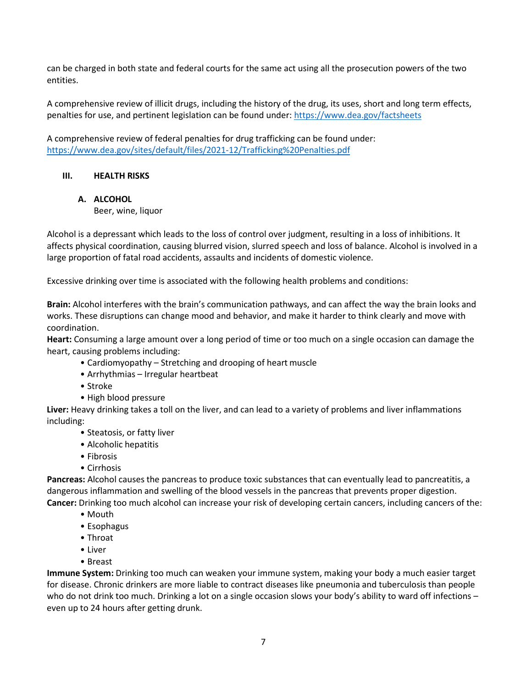can be charged in both state and federal courts for the same act using all the prosecution powers of the two entities.

A comprehensive review of illicit drugs, including the history of the drug, its uses, short and long term effects, penalties for use, and pertinent legislation can be found under[: https://www.dea.gov/factsheets](https://www.dea.gov/factsheets)

A comprehensive review of federal penalties for drug trafficking can be found under: <https://www.dea.gov/sites/default/files/2021-12/Trafficking%20Penalties.pdf>

## **III. HEALTH RISKS**

## **A. ALCOHOL**

Beer, wine, liquor

Alcohol is a depressant which leads to the loss of control over judgment, resulting in a loss of inhibitions. It affects physical coordination, causing blurred vision, slurred speech and loss of balance. Alcohol is involved in a large proportion of fatal road accidents, assaults and incidents of domestic violence.

Excessive drinking over time is associated with the following health problems and conditions:

**Brain:** Alcohol interferes with the brain's communication pathways, and can affect the way the brain looks and works. These disruptions can change mood and behavior, and make it harder to think clearly and move with coordination.

**Heart:** Consuming a large amount over a long period of time or too much on a single occasion can damage the heart, causing problems including:

- Cardiomyopathy Stretching and drooping of heart muscle
- Arrhythmias Irregular heartbeat
- Stroke
- High blood pressure

**Liver:** Heavy drinking takes a toll on the liver, and can lead to a variety of problems and liver inflammations including:

- Steatosis, or fatty liver
- Alcoholic hepatitis
- Fibrosis
- Cirrhosis

**Pancreas:** Alcohol causes the pancreas to produce toxic substances that can eventually lead to pancreatitis, a dangerous inflammation and swelling of the blood vessels in the pancreas that prevents proper digestion. **Cancer:** Drinking too much alcohol can increase your risk of developing certain cancers, including cancers of the:

- Mouth
	- Esophagus
	- Throat
	- Liver
	- Breast

**Immune System:** Drinking too much can weaken your immune system, making your body a much easier target for disease. Chronic drinkers are more liable to contract diseases like pneumonia and tuberculosis than people who do not drink too much. Drinking a lot on a single occasion slows your body's ability to ward off infections – even up to 24 hours after getting drunk.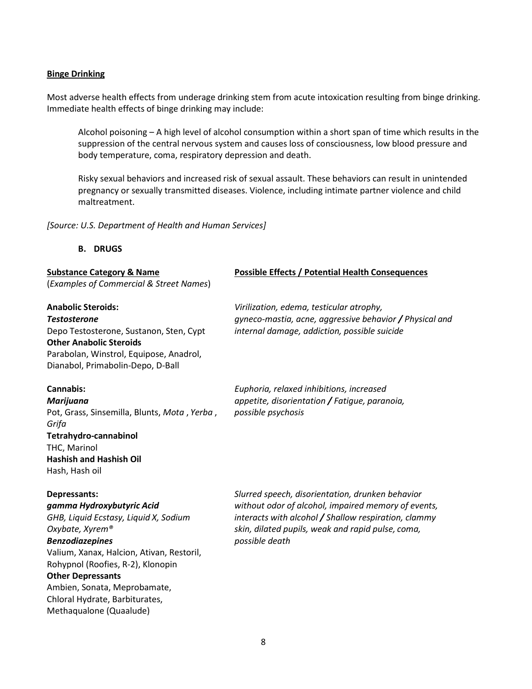#### **Binge Drinking**

Most adverse health effects from underage drinking stem from acute intoxication resulting from binge drinking. Immediate health effects of binge drinking may include:

Alcohol poisoning – A high level of alcohol consumption within a short span of time which results in the suppression of the central nervous system and causes loss of consciousness, low blood pressure and body temperature, coma, respiratory depression and death.

Risky sexual behaviors and increased risk of sexual assault. These behaviors can result in unintended pregnancy or sexually transmitted diseases. Violence, including intimate partner violence and child maltreatment.

*[Source: U.S. Department of Health and Human Services]*

#### **B. DRUGS**

| <b>Substance Category &amp; Name</b>                                                                                                                                                                                                                                                                                                       | <b>Possible Effects / Potential Health Consequences</b>                                                                                                                                                                                |
|--------------------------------------------------------------------------------------------------------------------------------------------------------------------------------------------------------------------------------------------------------------------------------------------------------------------------------------------|----------------------------------------------------------------------------------------------------------------------------------------------------------------------------------------------------------------------------------------|
| (Examples of Commercial & Street Names)                                                                                                                                                                                                                                                                                                    |                                                                                                                                                                                                                                        |
| <b>Anabolic Steroids:</b><br><b>Testosterone</b><br>Depo Testosterone, Sustanon, Sten, Cypt<br><b>Other Anabolic Steroids</b><br>Parabolan, Winstrol, Equipose, Anadrol,<br>Dianabol, Primabolin-Depo, D-Ball                                                                                                                              | Virilization, edema, testicular atrophy,<br>gyneco-mastia, acne, aggressive behavior / Physical and<br>internal damage, addiction, possible suicide                                                                                    |
| <b>Cannabis:</b><br>Marijuana<br>Pot, Grass, Sinsemilla, Blunts, Mota, Yerba,<br>Grifa<br>Tetrahydro-cannabinol<br>THC, Marinol<br><b>Hashish and Hashish Oil</b><br>Hash, Hash oil                                                                                                                                                        | Euphoria, relaxed inhibitions, increased<br>appetite, disorientation / Fatique, paranoia,<br>possible psychosis                                                                                                                        |
| Depressants:<br>gamma Hydroxybutyric Acid<br>GHB, Liquid Ecstasy, Liquid X, Sodium<br>Oxybate, Xyrem®<br><b>Benzodiazepines</b><br>Valium, Xanax, Halcion, Ativan, Restoril,<br>Rohypnol (Roofies, R-2), Klonopin<br><b>Other Depressants</b><br>Ambien, Sonata, Meprobamate,<br>Chloral Hydrate, Barbiturates,<br>Methaqualone (Quaalude) | Slurred speech, disorientation, drunken behavior<br>without odor of alcohol, impaired memory of events,<br>interacts with alcohol / Shallow respiration, clammy<br>skin, dilated pupils, weak and rapid pulse, coma,<br>possible death |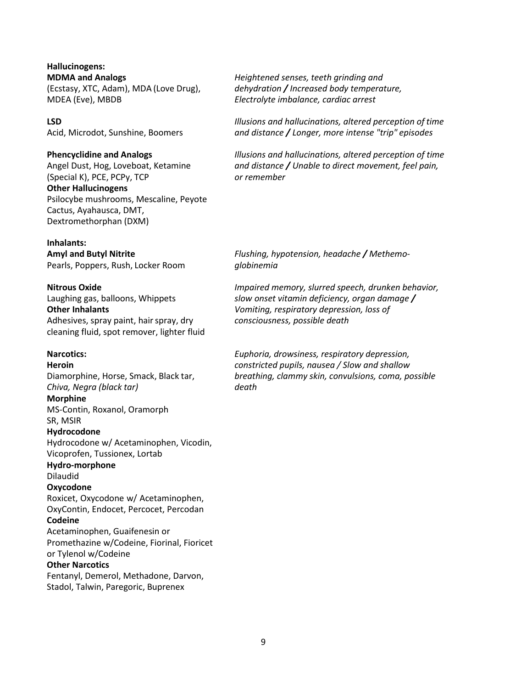**Hallucinogens: MDMA and Analogs** *Heightened senses, teeth grinding and*  MDEA (Eve), MBDB *Electrolyte imbalance, cardiac arrest*

(Special K), PCE, PCPy, TCP *or remember* **Other Hallucinogens** Psilocybe mushrooms, Mescaline, Peyote Cactus, Ayahausca, DMT, Dextromethorphan (DXM)

#### **Inhalants:**

Pearls, Poppers, Rush, Locker Room *globinemia*

Adhesives, spray paint, hairspray, dry *consciousness, possible death* cleaning fluid, spot remover, lighter fluid

*Chiva, Negra (black tar) death* **Morphine** MS-Contin, Roxanol, Oramorph SR, MSIR **Hydrocodone** Hydrocodone w/ Acetaminophen, Vicodin, Vicoprofen, Tussionex, Lortab **Hydro-morphone**  Dilaudid **Oxycodone** Roxicet, Oxycodone w/ Acetaminophen, OxyContin, Endocet, Percocet, Percodan **Codeine** Acetaminophen, Guaifenesin or Promethazine w/Codeine, Fiorinal, Fioricet or Tylenol w/Codeine **Other Narcotics** Fentanyl, Demerol, Methadone, Darvon, Stadol, Talwin, Paregoric, Buprenex

(Ecstasy, XTC, Adam), MDA (Love Drug), *dehydration / Increased body temperature,* 

**LSD** *Illusions and hallucinations, altered perception of time* Acid, Microdot, Sunshine, Boomers *and distance / Longer, more intense "trip" episodes*

**Phencyclidine and Analogs** *Illusions and hallucinations, altered perception of time*  Angel Dust, Hog, Loveboat, Ketamine *and distance / Unable to direct movement, feel pain,* 

**Amyl and Butyl Nitrite** *Flushing, hypotension, headache / Methemo-*

**Nitrous Oxide** *Impaired memory, slurred speech, drunken behavior,*  Laughing gas, balloons, Whippets *slow onset vitamin deficiency, organ damage /*  **Other Inhalants** *Vomiting, respiratory depression, loss of*

**Narcotics:** *Euphoria, drowsiness, respiratory depression,* **Heroin** *constricted pupils, nausea / Slow and shallow*  Diamorphine, Horse, Smack, Black tar, *breathing, clammy skin, convulsions, coma, possible*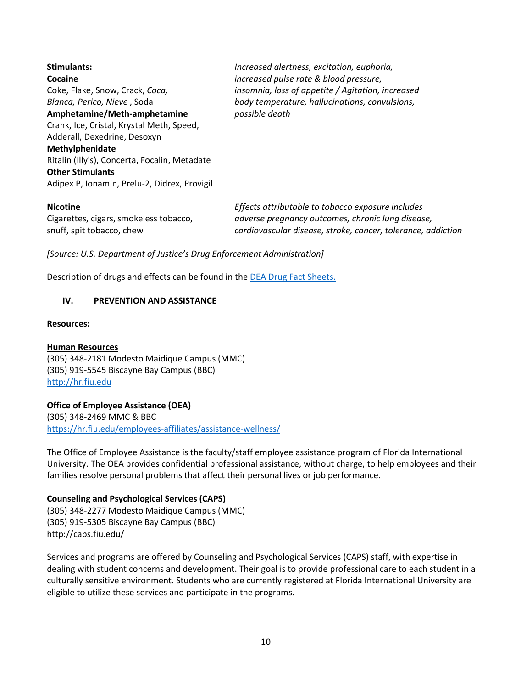| <b>Stimulants:</b>                            | Increased alertness, excitation, euphoria,        |  |  |  |
|-----------------------------------------------|---------------------------------------------------|--|--|--|
| Cocaine                                       | increased pulse rate & blood pressure,            |  |  |  |
| Coke, Flake, Snow, Crack, Coca,               | insomnia, loss of appetite / Agitation, increased |  |  |  |
| Blanca, Perico, Nieve, Soda                   | body temperature, hallucinations, convulsions,    |  |  |  |
| Amphetamine/Meth-amphetamine                  | possible death                                    |  |  |  |
| Crank, Ice, Cristal, Krystal Meth, Speed,     |                                                   |  |  |  |
| Adderall, Dexedrine, Desoxyn                  |                                                   |  |  |  |
| Methylphenidate                               |                                                   |  |  |  |
| Ritalin (Illy's), Concerta, Focalin, Metadate |                                                   |  |  |  |
| <b>Other Stimulants</b>                       |                                                   |  |  |  |
| Adipex P, Ionamin, Prelu-2, Didrex, Provigil  |                                                   |  |  |  |
| <b>Nicotine</b>                               | Effects attributable to tobacco exposure includes |  |  |  |
| Cigarettes sigare smokeless tobasse           | advarca prognancu outcomes, chronic lung disogra  |  |  |  |

Cigarettes, cigars,smokeless tobacco, *adverse pregnancy outcomes, chronic lung disease,* snuff, spit tobacco, chew *cardiovascular disease, stroke, cancer, tolerance, addiction* 

*[Source: U.S. Department of Justice's Drug Enforcement Administration]*

Description of drugs and effects can be found in the [DEA Drug Fact Sheets.](https://www.dea.gov/factsheets)

#### **IV. PREVENTION AND ASSISTANCE**

#### **Resources:**

#### **[Human Resources](http://hr.fiu.edu/index.php?name=home)**

(305) 348-2181 Modesto Maidique Campus (MMC) (305) 919-5545 Biscayne Bay Campus (BBC) [http://hr.fiu.edu](http://hr.fiu.edu/)

#### **Office of Employee Assistance (OEA)**

(305) 348-2469 MMC & BBC <https://hr.fiu.edu/employees-affiliates/assistance-wellness/>

The Office of Employee Assistance is the faculty/staff employee assistance program of Florida International University. The OEA provides confidential professional assistance, without charge, to help employees and their families resolve personal problems that affect their personal lives or job performance.

#### **Counseling and Psychological Services (CAPS)**

(305) 348-2277 Modesto Maidique Campus (MMC) (305) 919-5305 Biscayne Bay Campus (BBC) <http://caps.fiu.edu/>

Services and programs are offered by Counseling and Psychological Services (CAPS) staff, with expertise in dealing with student concerns and development. Their goal is to provide professional care to each student in a culturally sensitive environment. Students who are currently registered at Florida International University are eligible to utilize these services and participate in the programs.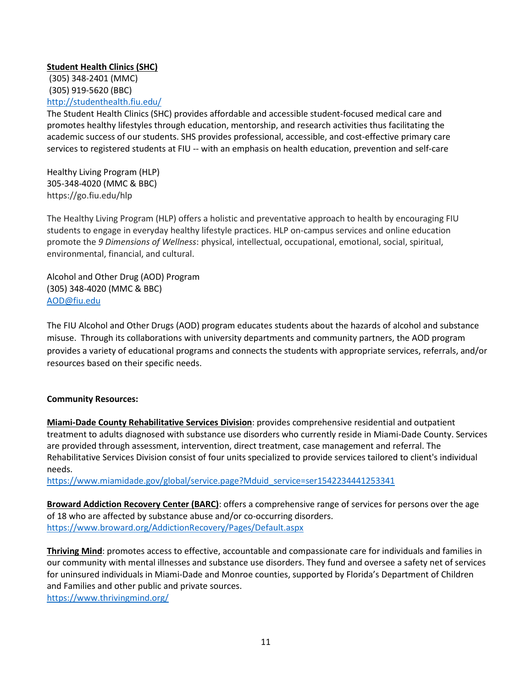## **Student [Health Clinics](http://studenthealth.fiu.edu/) (SHC)**

(305) 348-2401 (MMC) (305) 919-5620 (BBC) <http://studenthealth.fiu.edu/>

The Student Health Clinics (SHC) provides affordable and accessible student-focused medical care and promotes healthy lifestyles through education, mentorship, and research activities thus facilitating the academic success of our students. SHS provides professional, accessible, and cost-effective primary care services to registered students at FIU -- with an emphasis on health education, prevention and self-care

Healthy Living Program (HLP) 305-348-4020 (MMC & BBC) https://go.fiu.edu/hlp

The Healthy Living Program (HLP) offers a holistic and preventative approach to health by encouraging FIU students to engage in everyday healthy lifestyle practices. HLP on-campus services and online education promote the *9 Dimensions of Wellness*: physical, intellectual, occupational, emotional, social, spiritual, environmental, financial, and cultural.

Alcohol and Other Drug (AOD) Program (305) 348-4020 (MMC & BBC) [AOD@fiu.edu](mailto:AOD@fiu.edu)

The FIU Alcohol and Other Drugs (AOD) program educates students about the hazards of alcohol and substance misuse. Through its collaborations with university departments and community partners, the AOD program provides a variety of educational programs and connects the students with appropriate services, referrals, and/or resources based on their specific needs.

## **Community Resources:**

**Miami-Dade County Rehabilitative Services Division**: provides comprehensive residential and outpatient treatment to adults diagnosed with substance use disorders who currently reside in Miami-Dade County. Services are provided through assessment, intervention, direct treatment, case management and referral. The Rehabilitative Services Division consist of four units specialized to provide services tailored to client's individual needs.

[https://www.miamidade.gov/global/service.page?Mduid\\_service=ser1542234441253341](https://www.miamidade.gov/global/service.page?Mduid_service=ser1542234441253341)

**Broward Addiction Recovery Center (BARC)**: offers a comprehensive range of services for persons over the age of 18 who are affected by substance abuse and/or co-occurring disorders. <https://www.broward.org/AddictionRecovery/Pages/Default.aspx>

**Thriving Mind**: promotes access to effective, accountable and compassionate care for individuals and families in our community with mental illnesses and substance use disorders. They fund and oversee a safety net of services for uninsured individuals in Miami-Dade and Monroe counties, supported by Florida's Department of Children and Families and other public and private sources. <https://www.thrivingmind.org/>